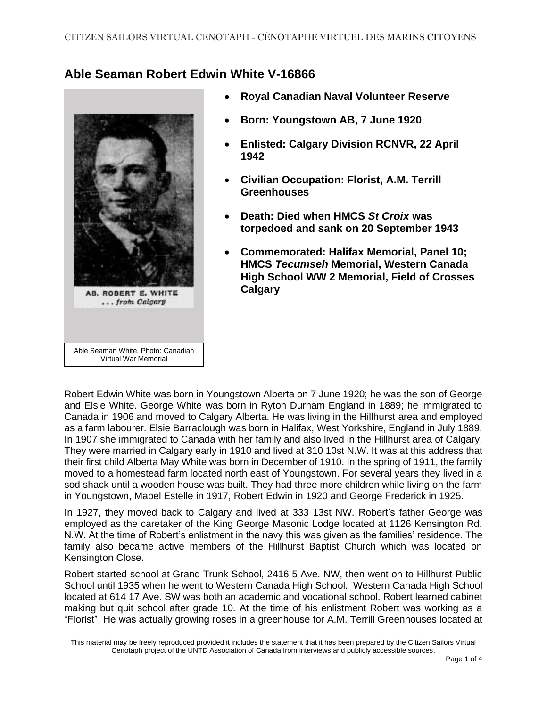## **Able Seaman Robert Edwin White V-16866**



- **Royal Canadian Naval Volunteer Reserve**
- **Born: Youngstown AB, 7 June 1920**
- **Enlisted: Calgary Division RCNVR, 22 April 1942**
- **Civilian Occupation: Florist, A.M. Terrill Greenhouses**
- **Death: Died when HMCS** *St Croix* **was torpedoed and sank on 20 September 1943**
- **Commemorated: Halifax Memorial, Panel 10; HMCS** *Tecumseh* **Memorial, Western Canada High School WW 2 Memorial, Field of Crosses Calgary**

Robert Edwin White was born in Youngstown Alberta on 7 June 1920; he was the son of George and Elsie White. George White was born in Ryton Durham England in 1889; he immigrated to Canada in 1906 and moved to Calgary Alberta. He was living in the Hillhurst area and employed as a farm labourer. Elsie Barraclough was born in Halifax, West Yorkshire, England in July 1889. In 1907 she immigrated to Canada with her family and also lived in the Hillhurst area of Calgary. They were married in Calgary early in 1910 and lived at 310 10st N.W. It was at this address that their first child Alberta May White was born in December of 1910. In the spring of 1911, the family moved to a homestead farm located north east of Youngstown. For several years they lived in a sod shack until a wooden house was built. They had three more children while living on the farm in Youngstown, Mabel Estelle in 1917, Robert Edwin in 1920 and George Frederick in 1925.

In 1927, they moved back to Calgary and lived at 333 13st NW. Robert's father George was employed as the caretaker of the King George Masonic Lodge located at 1126 Kensington Rd. N.W. At the time of Robert's enlistment in the navy this was given as the families' residence. The family also became active members of the Hillhurst Baptist Church which was located on Kensington Close.

Robert started school at Grand Trunk School, 2416 5 Ave. NW, then went on to Hillhurst Public School until 1935 when he went to Western Canada High School. Western Canada High School located at 614 17 Ave. SW was both an academic and vocational school. Robert learned cabinet making but quit school after grade 10. At the time of his enlistment Robert was working as a "Florist". He was actually growing roses in a greenhouse for A.M. Terrill Greenhouses located at

This material may be freely reproduced provided it includes the statement that it has been prepared by the Citizen Sailors Virtual Cenotaph project of the UNTD Association of Canada from interviews and publicly accessible sources.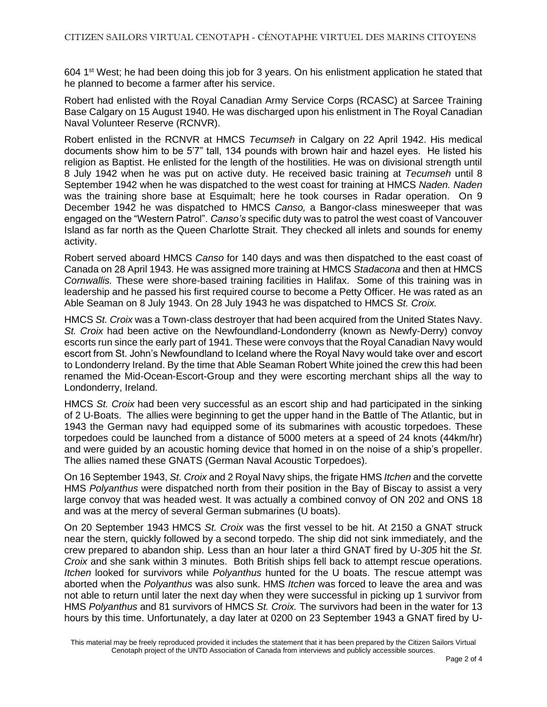604 1<sup>st</sup> West; he had been doing this job for 3 years. On his enlistment application he stated that he planned to become a farmer after his service.

Robert had enlisted with the Royal Canadian Army Service Corps (RCASC) at Sarcee Training Base Calgary on 15 August 1940. He was discharged upon his enlistment in The Royal Canadian Naval Volunteer Reserve (RCNVR).

Robert enlisted in the RCNVR at HMCS *Tecumseh* in Calgary on 22 April 1942. His medical documents show him to be 5'7" tall, 134 pounds with brown hair and hazel eyes. He listed his religion as Baptist. He enlisted for the length of the hostilities. He was on divisional strength until 8 July 1942 when he was put on active duty. He received basic training at *Tecumseh* until 8 September 1942 when he was dispatched to the west coast for training at HMCS *Naden. Naden* was the training shore base at Esquimalt; here he took courses in Radar operation. On 9 December 1942 he was dispatched to HMCS *Canso,* a Bangor-class minesweeper that was engaged on the "Western Patrol". *Canso's* specific duty was to patrol the west coast of Vancouver Island as far north as the Queen Charlotte Strait. They checked all inlets and sounds for enemy activity.

Robert served aboard HMCS *Canso* for 140 days and was then dispatched to the east coast of Canada on 28 April 1943. He was assigned more training at HMCS *Stadacona* and then at HMCS *Cornwallis.* These were shore-based training facilities in Halifax. Some of this training was in leadership and he passed his first required course to become a Petty Officer. He was rated as an Able Seaman on 8 July 1943. On 28 July 1943 he was dispatched to HMCS *St. Croix.* 

HMCS *St. Croix* was a Town-class destroyer that had been acquired from the United States Navy. *St. Croix* had been active on the Newfoundland-Londonderry (known as Newfy-Derry) convoy escorts run since the early part of 1941. These were convoys that the Royal Canadian Navy would escort from St. John's Newfoundland to Iceland where the Royal Navy would take over and escort to Londonderry Ireland. By the time that Able Seaman Robert White joined the crew this had been renamed the Mid-Ocean-Escort-Group and they were escorting merchant ships all the way to Londonderry, Ireland.

HMCS *St. Croix* had been very successful as an escort ship and had participated in the sinking of 2 U-Boats. The allies were beginning to get the upper hand in the Battle of The Atlantic, but in 1943 the German navy had equipped some of its submarines with acoustic torpedoes. These torpedoes could be launched from a distance of 5000 meters at a speed of 24 knots (44km/hr) and were guided by an acoustic homing device that homed in on the noise of a ship's propeller. The allies named these GNATS (German Naval Acoustic Torpedoes).

On 16 September 1943, *St. Croix* and 2 Royal Navy ships, the frigate HMS *Itchen* and the corvette HMS *Polyanthus* were dispatched north from their position in the Bay of Biscay to assist a very large convoy that was headed west. It was actually a combined convoy of ON 202 and ONS 18 and was at the mercy of several German submarines (U boats).

On 20 September 1943 HMCS *St. Croix* was the first vessel to be hit. At 2150 a GNAT struck near the stern, quickly followed by a second torpedo. The ship did not sink immediately, and the crew prepared to abandon ship. Less than an hour later a third GNAT fired by U-*305* hit the *St. Croix* and she sank within 3 minutes. Both British ships fell back to attempt rescue operations*. Itchen* looked for survivors while *Polyanthus* hunted for the U boats. The rescue attempt was aborted when the *Polyanthus* was also sunk. HMS *Itchen* was forced to leave the area and was not able to return until later the next day when they were successful in picking up 1 survivor from HMS *Polyanthus* and 81 survivors of HMCS *St. Croix.* The survivors had been in the water for 13 hours by this time. Unfortunately, a day later at 0200 on 23 September 1943 a GNAT fired by U-

This material may be freely reproduced provided it includes the statement that it has been prepared by the Citizen Sailors Virtual Cenotaph project of the UNTD Association of Canada from interviews and publicly accessible sources.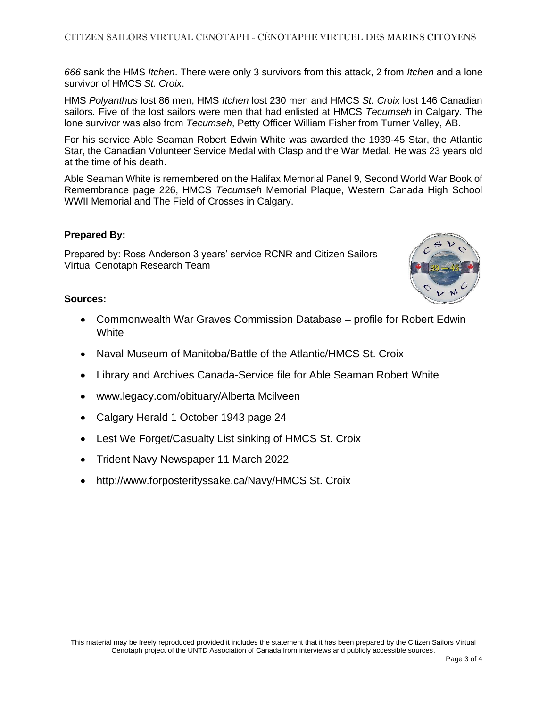*666* sank the HMS *Itchen*. There were only 3 survivors from this attack, 2 from *Itchen* and a lone survivor of HMCS *St. Croix*.

HMS *Polyanthus* lost 86 men, HMS *Itchen* lost 230 men and HMCS *St. Croix* lost 146 Canadian sailors*.* Five of the lost sailors were men that had enlisted at HMCS *Tecumseh* in Calgary*.* The lone survivor was also from *Tecumseh*, Petty Officer William Fisher from Turner Valley, AB.

For his service Able Seaman Robert Edwin White was awarded the 1939-45 Star, the Atlantic Star, the Canadian Volunteer Service Medal with Clasp and the War Medal. He was 23 years old at the time of his death.

Able Seaman White is remembered on the Halifax Memorial Panel 9, Second World War Book of Remembrance page 226, HMCS *Tecumseh* Memorial Plaque, Western Canada High School WWII Memorial and The Field of Crosses in Calgary.

## **Prepared By:**

Prepared by: Ross Anderson 3 years' service RCNR and Citizen Sailors Virtual Cenotaph Research Team



- Commonwealth War Graves Commission Database profile for Robert Edwin **White**
- Naval Museum of Manitoba/Battle of the Atlantic/HMCS St. Croix
- Library and Archives Canada-Service file for Able Seaman Robert White
- www.legacy.com/obituary/Alberta Mcilveen
- Calgary Herald 1 October 1943 page 24
- Lest We Forget/Casualty List sinking of HMCS St. Croix
- Trident Navy Newspaper 11 March 2022
- http://www.forposterityssake.ca/Navy/HMCS St. Croix